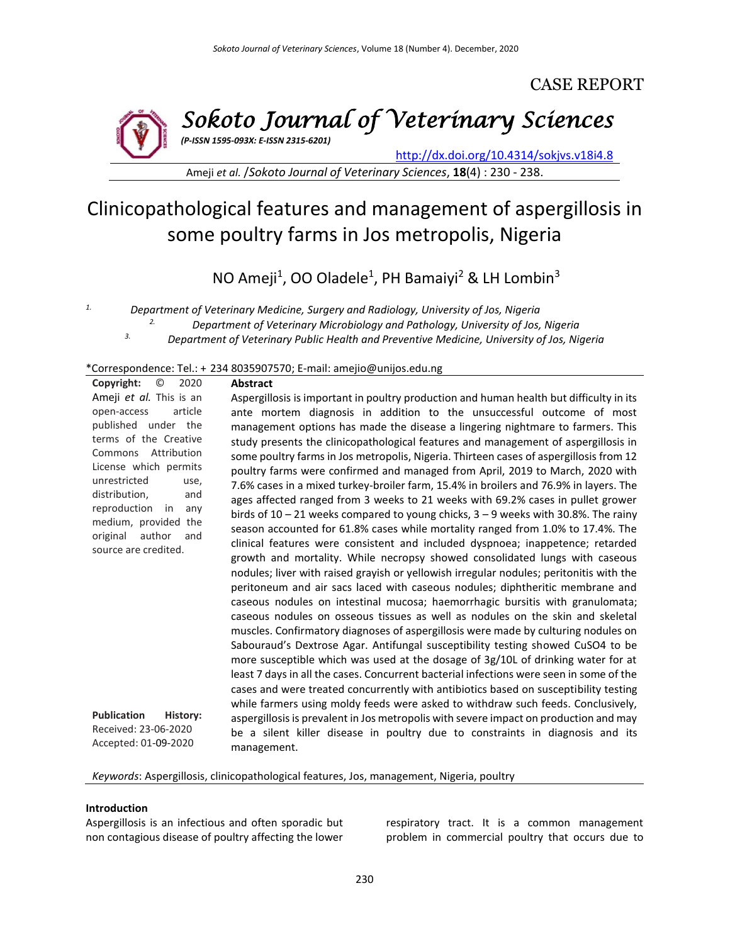CASE REPORT



*Sokoto Journal of Veterinary Sciences (P-ISSN 1595-093X: E-ISSN 2315-6201)*

<http://dx.doi.org/10.4314/sokjvs.v18i4.8>

Ameji *et al.* /*Sokoto Journal of Veterinary Sciences*, **18**(4) : 230 - 238.

# Clinicopathological features and management of aspergillosis in some poultry farms in Jos metropolis, Nigeria

NO Ameji<sup>1</sup>, OO Oladele<sup>1</sup>, PH Bamaiyi<sup>2</sup> & LH Lombin<sup>3</sup>

*1. Department of Veterinary Medicine, Surgery and Radiology, University of Jos, Nigeria*

*2. Department of Veterinary Microbiology and Pathology, University of Jos, Nigeria*

*3. Department of Veterinary Public Health and Preventive Medicine, University of Jos, Nigeria*

\*Correspondence: Tel.: + 234 8035907570; E-mail: amejio@unijos.edu.ng

| Copyright:<br>O<br>2020               | <b>Abstract</b>                                                                         |
|---------------------------------------|-----------------------------------------------------------------------------------------|
| Ameji et al. This is an               | Aspergillosis is important in poultry production and human health but difficulty in its |
| open-access<br>article                | ante mortem diagnosis in addition to the unsuccessful outcome of most                   |
| published under the                   | management options has made the disease a lingering nightmare to farmers. This          |
| terms of the Creative                 | study presents the clinicopathological features and management of aspergillosis in      |
| Commons Attribution                   | some poultry farms in Jos metropolis, Nigeria. Thirteen cases of aspergillosis from 12  |
| License which permits                 | poultry farms were confirmed and managed from April, 2019 to March, 2020 with           |
| unrestricted<br>use,                  | 7.6% cases in a mixed turkey-broiler farm, 15.4% in broilers and 76.9% in layers. The   |
| distribution,<br>and                  | ages affected ranged from 3 weeks to 21 weeks with 69.2% cases in pullet grower         |
| reproduction<br>in<br>any             | birds of $10 - 21$ weeks compared to young chicks, $3 - 9$ weeks with 30.8%. The rainy  |
| medium, provided the                  | season accounted for 61.8% cases while mortality ranged from 1.0% to 17.4%. The         |
| original author<br>and                | clinical features were consistent and included dyspnoea; inappetence; retarded          |
| source are credited.                  | growth and mortality. While necropsy showed consolidated lungs with caseous             |
|                                       | nodules; liver with raised grayish or yellowish irregular nodules; peritonitis with the |
|                                       | peritoneum and air sacs laced with caseous nodules; diphtheritic membrane and           |
|                                       | caseous nodules on intestinal mucosa; haemorrhagic bursitis with granulomata;           |
|                                       | caseous nodules on osseous tissues as well as nodules on the skin and skeletal          |
|                                       | muscles. Confirmatory diagnoses of aspergillosis were made by culturing nodules on      |
|                                       |                                                                                         |
|                                       | Sabouraud's Dextrose Agar. Antifungal susceptibility testing showed CuSO4 to be         |
|                                       | more susceptible which was used at the dosage of 3g/10L of drinking water for at        |
|                                       | least 7 days in all the cases. Concurrent bacterial infections were seen in some of the |
|                                       | cases and were treated concurrently with antibiotics based on susceptibility testing    |
| <b>Publication</b><br><b>History:</b> | while farmers using moldy feeds were asked to withdraw such feeds. Conclusively,        |
| Received: 23-06-2020                  | aspergillosis is prevalent in Jos metropolis with severe impact on production and may   |
| Accepted: 01-09-2020                  | be a silent killer disease in poultry due to constraints in diagnosis and its           |
|                                       | management.                                                                             |

#### *Keywords*: Aspergillosis, clinicopathological features, Jos, management, Nigeria, poultry

#### **Introduction**

Aspergillosis is an infectious and often sporadic but non contagious disease of poultry affecting the lower

respiratory tract. It is a common management problem in commercial poultry that occurs due to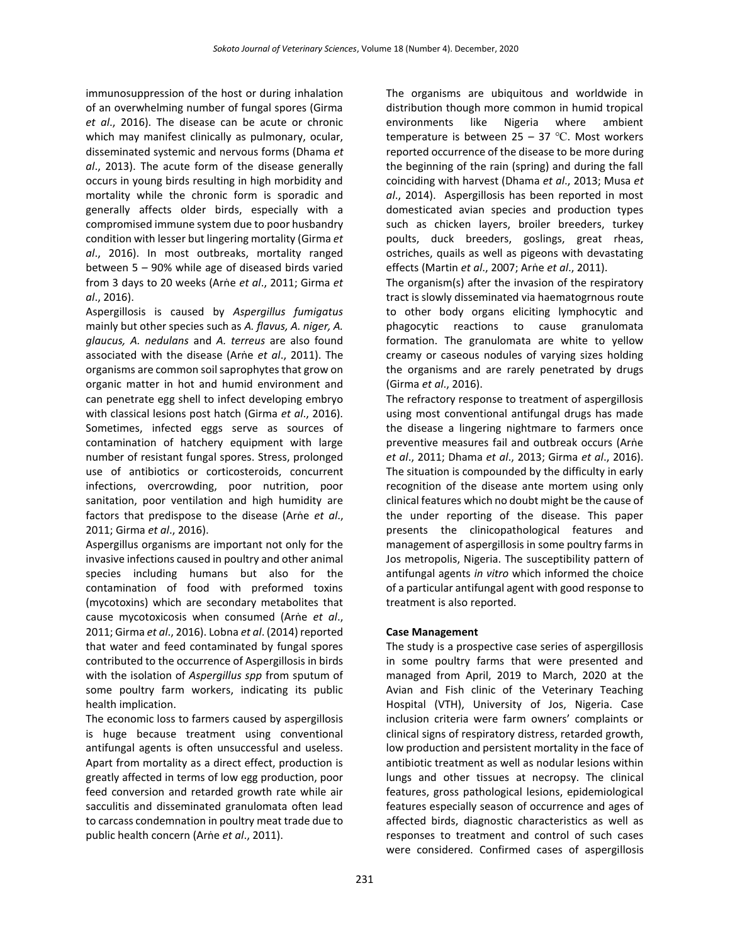immunosuppression of the host or during inhalation of an overwhelming number of fungal spores (Girma *et al*., 2016). The disease can be acute or chronic which may manifest clinically as pulmonary, ocular, disseminated systemic and nervous forms (Dhama *et al*., 2013). The acute form of the disease generally occurs in young birds resulting in high morbidity and mortality while the chronic form is sporadic and generally affects older birds, especially with a compromised immune system due to poor husbandry condition with lesser but lingering mortality (Girma *et al*., 2016). In most outbreaks, mortality ranged between 5 – 90% while age of diseased birds varied from 3 days to 20 weeks (Arṅe *et al*., 2011; Girma *et al*., 2016).

Aspergillosis is caused by *Aspergillus fumigatus* mainly but other species such as *A. flavus, A. niger, A. glaucus, A. nedulans* and *A. terreus* are also found associated with the disease (Arṅe *et al*., 2011). The organisms are common soil saprophytes that grow on organic matter in hot and humid environment and can penetrate egg shell to infect developing embryo with classical lesions post hatch (Girma *et al*., 2016). Sometimes, infected eggs serve as sources of contamination of hatchery equipment with large number of resistant fungal spores. Stress, prolonged use of antibiotics or corticosteroids, concurrent infections, overcrowding, poor nutrition, poor sanitation, poor ventilation and high humidity are factors that predispose to the disease (Arṅe *et al*., 2011; Girma *et al*., 2016).

Aspergillus organisms are important not only for the invasive infections caused in poultry and other animal species including humans but also for the contamination of food with preformed toxins (mycotoxins) which are secondary metabolites that cause mycotoxicosis when consumed (Arṅe *et al*., 2011; Girma *et al*., 2016). Lobna *et al*. (2014) reported that water and feed contaminated by fungal spores contributed to the occurrence of Aspergillosis in birds with the isolation of *Aspergillus spp* from sputum of some poultry farm workers, indicating its public health implication.

The economic loss to farmers caused by aspergillosis is huge because treatment using conventional antifungal agents is often unsuccessful and useless. Apart from mortality as a direct effect, production is greatly affected in terms of low egg production, poor feed conversion and retarded growth rate while air sacculitis and disseminated granulomata often lead to carcass condemnation in poultry meat trade due to public health concern (Arṅe *et al*., 2011).

The organisms are ubiquitous and worldwide in distribution though more common in humid tropical environments like Nigeria where ambient temperature is between  $25 - 37$  °C. Most workers reported occurrence of the disease to be more during the beginning of the rain (spring) and during the fall coinciding with harvest (Dhama *et al*., 2013; Musa *et al*., 2014). Aspergillosis has been reported in most domesticated avian species and production types such as chicken layers, broiler breeders, turkey poults, duck breeders, goslings, great rheas, ostriches, quails as well as pigeons with devastating effects (Martin *et al*., 2007; Arṅe *et al*., 2011).

The organism(s) after the invasion of the respiratory tract is slowly disseminated via haematogrnous route to other body organs eliciting lymphocytic and phagocytic reactions to cause granulomata formation. The granulomata are white to yellow creamy or caseous nodules of varying sizes holding the organisms and are rarely penetrated by drugs (Girma *et al*., 2016).

The refractory response to treatment of aspergillosis using most conventional antifungal drugs has made the disease a lingering nightmare to farmers once preventive measures fail and outbreak occurs (Arṅe *et al*., 2011; Dhama *et al*., 2013; Girma *et al*., 2016). The situation is compounded by the difficulty in early recognition of the disease ante mortem using only clinical features which no doubt might be the cause of the under reporting of the disease. This paper presents the clinicopathological features and management of aspergillosis in some poultry farms in Jos metropolis, Nigeria. The susceptibility pattern of antifungal agents *in vitro* which informed the choice of a particular antifungal agent with good response to treatment is also reported.

# **Case Management**

The study is a prospective case series of aspergillosis in some poultry farms that were presented and managed from April, 2019 to March, 2020 at the Avian and Fish clinic of the Veterinary Teaching Hospital (VTH), University of Jos, Nigeria. Case inclusion criteria were farm owners' complaints or clinical signs of respiratory distress, retarded growth, low production and persistent mortality in the face of antibiotic treatment as well as nodular lesions within lungs and other tissues at necropsy. The clinical features, gross pathological lesions, epidemiological features especially season of occurrence and ages of affected birds, diagnostic characteristics as well as responses to treatment and control of such cases were considered. Confirmed cases of aspergillosis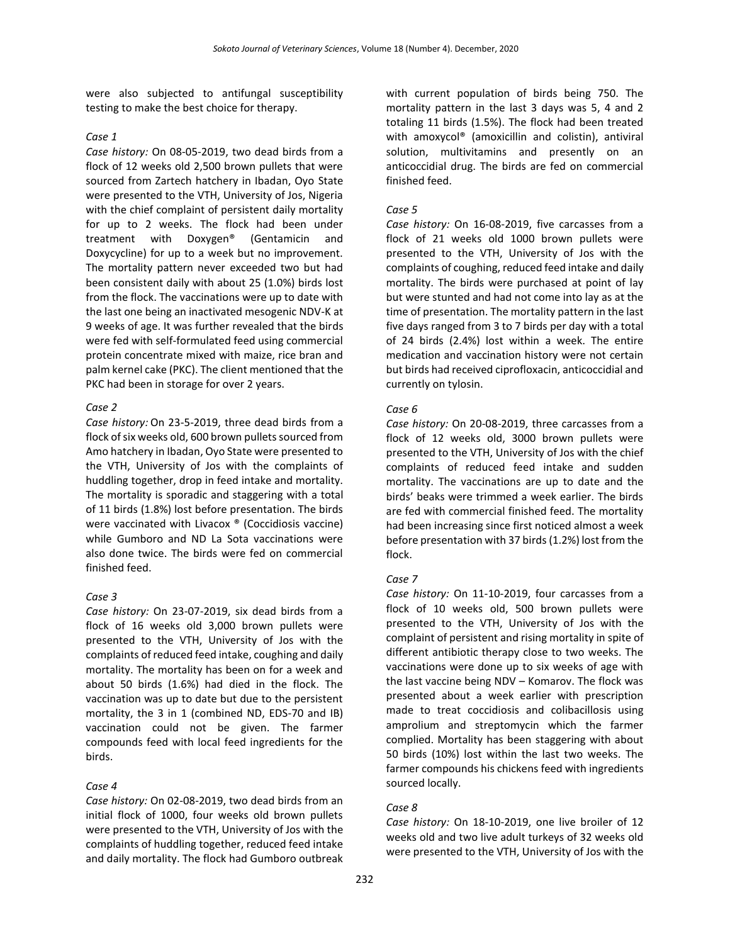were also subjected to antifungal susceptibility testing to make the best choice for therapy.

## *Case 1*

*Case history:* On 08-05-2019, two dead birds from a flock of 12 weeks old 2,500 brown pullets that were sourced from Zartech hatchery in Ibadan, Oyo State were presented to the VTH, University of Jos, Nigeria with the chief complaint of persistent daily mortality for up to 2 weeks. The flock had been under treatment with Doxygen® (Gentamicin and Doxycycline) for up to a week but no improvement. The mortality pattern never exceeded two but had been consistent daily with about 25 (1.0%) birds lost from the flock. The vaccinations were up to date with the last one being an inactivated mesogenic NDV-K at 9 weeks of age. It was further revealed that the birds were fed with self-formulated feed using commercial protein concentrate mixed with maize, rice bran and palm kernel cake (PKC). The client mentioned that the PKC had been in storage for over 2 years.

## *Case 2*

*Case history:* On 23-5-2019, three dead birds from a flock of six weeks old, 600 brown pullets sourced from Amo hatchery in Ibadan, Oyo State were presented to the VTH, University of Jos with the complaints of huddling together, drop in feed intake and mortality. The mortality is sporadic and staggering with a total of 11 birds (1.8%) lost before presentation. The birds were vaccinated with Livacox ® (Coccidiosis vaccine) while Gumboro and ND La Sota vaccinations were also done twice. The birds were fed on commercial finished feed.

# *Case 3*

*Case history:* On 23-07-2019, six dead birds from a flock of 16 weeks old 3,000 brown pullets were presented to the VTH, University of Jos with the complaints of reduced feed intake, coughing and daily mortality. The mortality has been on for a week and about 50 birds (1.6%) had died in the flock. The vaccination was up to date but due to the persistent mortality, the 3 in 1 (combined ND, EDS-70 and IB) vaccination could not be given. The farmer compounds feed with local feed ingredients for the birds.

# *Case 4*

*Case history:* On 02-08-2019, two dead birds from an initial flock of 1000, four weeks old brown pullets were presented to the VTH, University of Jos with the complaints of huddling together, reduced feed intake and daily mortality. The flock had Gumboro outbreak with current population of birds being 750. The mortality pattern in the last 3 days was 5, 4 and 2 totaling 11 birds (1.5%). The flock had been treated with amoxycol® (amoxicillin and colistin), antiviral solution, multivitamins and presently on an anticoccidial drug. The birds are fed on commercial finished feed.

## *Case 5*

*Case history:* On 16-08-2019, five carcasses from a flock of 21 weeks old 1000 brown pullets were presented to the VTH, University of Jos with the complaints of coughing, reduced feed intake and daily mortality. The birds were purchased at point of lay but were stunted and had not come into lay as at the time of presentation. The mortality pattern in the last five days ranged from 3 to 7 birds per day with a total of 24 birds (2.4%) lost within a week. The entire medication and vaccination history were not certain but birds had received ciprofloxacin, anticoccidial and currently on tylosin.

## *Case 6*

*Case history:* On 20-08-2019, three carcasses from a flock of 12 weeks old, 3000 brown pullets were presented to the VTH, University of Jos with the chief complaints of reduced feed intake and sudden mortality. The vaccinations are up to date and the birds' beaks were trimmed a week earlier. The birds are fed with commercial finished feed. The mortality had been increasing since first noticed almost a week before presentation with 37 birds (1.2%) lost from the flock.

# *Case 7*

*Case history:* On 11-10-2019, four carcasses from a flock of 10 weeks old, 500 brown pullets were presented to the VTH, University of Jos with the complaint of persistent and rising mortality in spite of different antibiotic therapy close to two weeks. The vaccinations were done up to six weeks of age with the last vaccine being NDV – Komarov. The flock was presented about a week earlier with prescription made to treat coccidiosis and colibacillosis using amprolium and streptomycin which the farmer complied. Mortality has been staggering with about 50 birds (10%) lost within the last two weeks. The farmer compounds his chickens feed with ingredients sourced locally.

# *Case 8*

*Case history:* On 18-10-2019, one live broiler of 12 weeks old and two live adult turkeys of 32 weeks old were presented to the VTH, University of Jos with the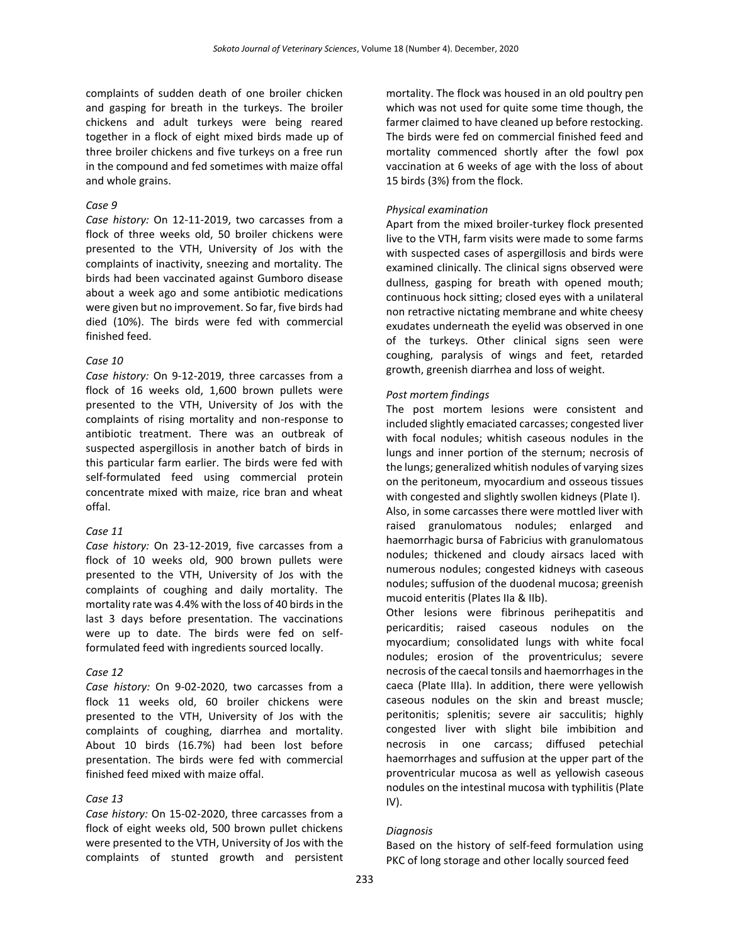complaints of sudden death of one broiler chicken and gasping for breath in the turkeys. The broiler chickens and adult turkeys were being reared together in a flock of eight mixed birds made up of three broiler chickens and five turkeys on a free run in the compound and fed sometimes with maize offal and whole grains.

#### *Case 9*

*Case history:* On 12-11-2019, two carcasses from a flock of three weeks old, 50 broiler chickens were presented to the VTH, University of Jos with the complaints of inactivity, sneezing and mortality. The birds had been vaccinated against Gumboro disease about a week ago and some antibiotic medications were given but no improvement. So far, five birds had died (10%). The birds were fed with commercial finished feed.

## *Case 10*

*Case history:* On 9-12-2019, three carcasses from a flock of 16 weeks old, 1,600 brown pullets were presented to the VTH, University of Jos with the complaints of rising mortality and non-response to antibiotic treatment. There was an outbreak of suspected aspergillosis in another batch of birds in this particular farm earlier. The birds were fed with self-formulated feed using commercial protein concentrate mixed with maize, rice bran and wheat offal.

# *Case 11*

*Case history:* On 23-12-2019, five carcasses from a flock of 10 weeks old, 900 brown pullets were presented to the VTH, University of Jos with the complaints of coughing and daily mortality. The mortality rate was 4.4% with the loss of 40 birds in the last 3 days before presentation. The vaccinations were up to date. The birds were fed on selfformulated feed with ingredients sourced locally.

# *Case 12*

*Case history:* On 9-02-2020, two carcasses from a flock 11 weeks old, 60 broiler chickens were presented to the VTH, University of Jos with the complaints of coughing, diarrhea and mortality. About 10 birds (16.7%) had been lost before presentation. The birds were fed with commercial finished feed mixed with maize offal.

#### *Case 13*

*Case history:* On 15-02-2020, three carcasses from a flock of eight weeks old, 500 brown pullet chickens were presented to the VTH, University of Jos with the complaints of stunted growth and persistent

mortality. The flock was housed in an old poultry pen which was not used for quite some time though, the farmer claimed to have cleaned up before restocking. The birds were fed on commercial finished feed and mortality commenced shortly after the fowl pox vaccination at 6 weeks of age with the loss of about 15 birds (3%) from the flock.

## *Physical examination*

Apart from the mixed broiler-turkey flock presented live to the VTH, farm visits were made to some farms with suspected cases of aspergillosis and birds were examined clinically. The clinical signs observed were dullness, gasping for breath with opened mouth; continuous hock sitting; closed eyes with a unilateral non retractive nictating membrane and white cheesy exudates underneath the eyelid was observed in one of the turkeys. Other clinical signs seen were coughing, paralysis of wings and feet, retarded growth, greenish diarrhea and loss of weight.

## *Post mortem findings*

The post mortem lesions were consistent and included slightly emaciated carcasses; congested liver with focal nodules; whitish caseous nodules in the lungs and inner portion of the sternum; necrosis of the lungs; generalized whitish nodules of varying sizes on the peritoneum, myocardium and osseous tissues with congested and slightly swollen kidneys (Plate I). Also, in some carcasses there were mottled liver with raised granulomatous nodules; enlarged and haemorrhagic bursa of Fabricius with granulomatous nodules; thickened and cloudy airsacs laced with numerous nodules; congested kidneys with caseous nodules; suffusion of the duodenal mucosa; greenish mucoid enteritis (Plates IIa & IIb).

Other lesions were fibrinous perihepatitis and pericarditis; raised caseous nodules on the myocardium; consolidated lungs with white focal nodules; erosion of the proventriculus; severe necrosis of the caecal tonsils and haemorrhages in the caeca (Plate IIIa). In addition, there were yellowish caseous nodules on the skin and breast muscle; peritonitis; splenitis; severe air sacculitis; highly congested liver with slight bile imbibition and necrosis in one carcass; diffused petechial haemorrhages and suffusion at the upper part of the proventricular mucosa as well as yellowish caseous nodules on the intestinal mucosa with typhilitis (Plate IV).

# *Diagnosis*

Based on the history of self-feed formulation using PKC of long storage and other locally sourced feed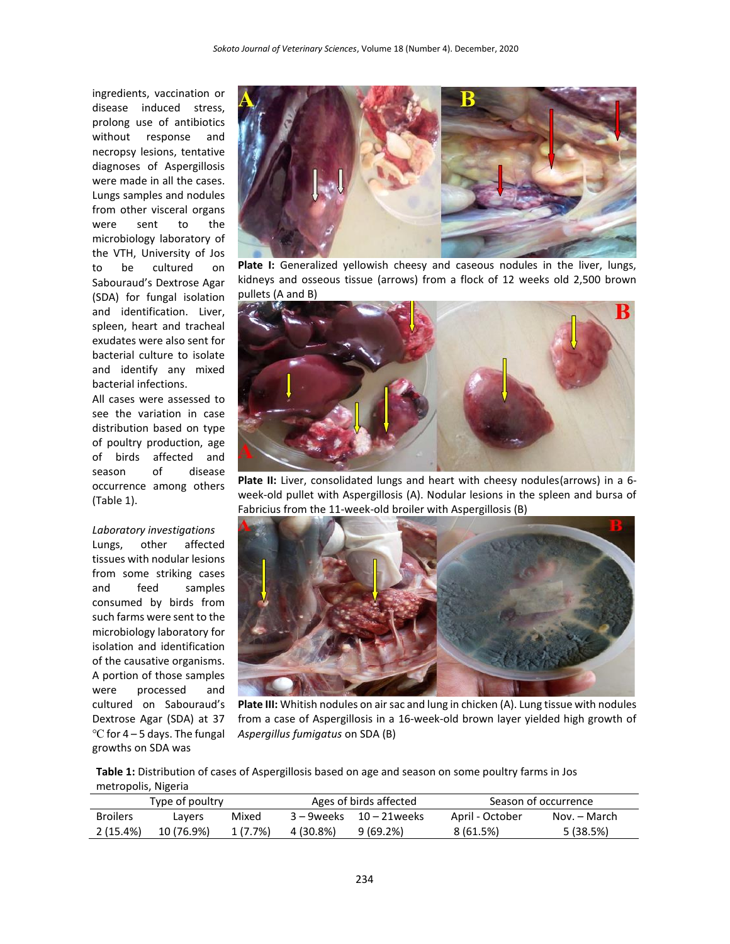ingredients, vaccination or disease induced stress, prolong use of antibiotics without response and necropsy lesions, tentative diagnoses of Aspergillosis were made in all the cases. Lungs samples and nodules from other visceral organs were sent to the microbiology laboratory of the VTH, University of Jos to be cultured on Sabouraud's Dextrose Agar (SDA) for fungal isolation and identification. Liver, spleen, heart and tracheal exudates were also sent for bacterial culture to isolate and identify any mixed bacterial infections.

All cases were assessed to see the variation in case distribution based on type of poultry production, age of birds affected and season of disease occurrence among others (Table 1).

*Laboratory investigations* Lungs, other affected tissues with nodular lesions from some striking cases and feed samples consumed by birds from such farms were sent to the microbiology laboratory for isolation and identification of the causative organisms. A portion of those samples were processed and cultured on Sabouraud's Dextrose Agar (SDA) at 37  $\mathrm{C}$  for 4 – 5 days. The fungal growths on SDA was



Plate I: Generalized yellowish cheesy and caseous nodules in the liver, lungs, kidneys and osseous tissue (arrows) from a flock of 12 weeks old 2,500 brown pullets (A and B)



**Plate II:** Liver, consolidated lungs and heart with cheesy nodules(arrows) in a 6 week-old pullet with Aspergillosis (A). Nodular lesions in the spleen and bursa of Fabricius from the 11-week-old broiler with Aspergillosis (B)



Plate III: Whitish nodules on air sac and lung in chicken (A). Lung tissue with nodules from a case of Aspergillosis in a 16-week-old brown layer yielded high growth of *Aspergillus fumigatus* on SDA (B)

**Table 1:** Distribution of cases of Aspergillosis based on age and season on some poultry farms in Jos metropolis, Nigeria

| Type of poultry |            | Ages of birds affected |            | Season of occurrence |                 |              |
|-----------------|------------|------------------------|------------|----------------------|-----------------|--------------|
| <b>Broilers</b> | Lavers     | Mixed                  | 3 – 9weeks | 10 – 21 weeks        | April - October | Nov. – March |
| $2(15.4\%)$     | 10 (76.9%) | 1 (7.7%)               | 4 (30.8%)  | $9(69.2\%)$          | 8 (61.5%)       | 5(38.5%)     |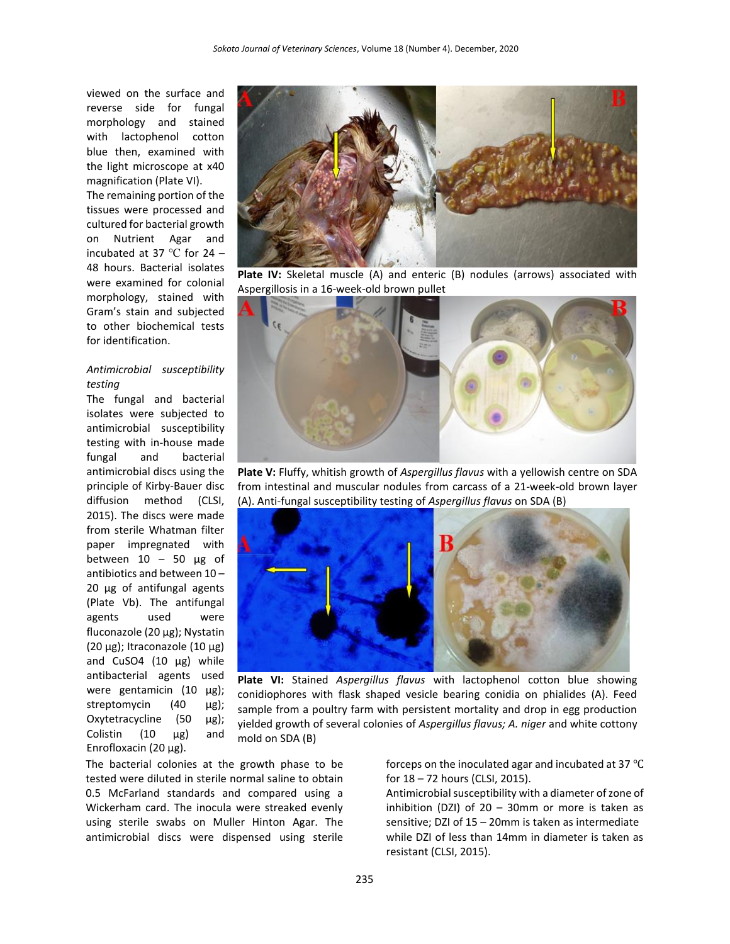viewed on the surface and reverse side for fungal morphology and stained with lactophenol cotton blue then, examined with the light microscope at x40 magnification (Plate VI).

The remaining portion of the tissues were processed and cultured for bacterial growth on Nutrient Agar and incubated at 37 ℃ for 24 – 48 hours. Bacterial isolates were examined for colonial morphology, stained with Gram's stain and subjected to other biochemical tests for identification.

## *Antimicrobial susceptibility testing*

The fungal and bacterial isolates were subjected to antimicrobial susceptibility testing with in-house made fungal and bacterial antimicrobial discs using the principle of Kirby-Bauer disc diffusion method (CLSI, 2015). The discs were made from sterile Whatman filter paper impregnated with between  $10 - 50$  µg of antibiotics and between 10 – 20 µg of antifungal agents (Plate Vb). The antifungal agents used were fluconazole (20 µg); Nystatin (20  $\mu$ g); Itraconazole (10  $\mu$ g) and CuSO4  $(10 \mu g)$  while antibacterial agents used were gentamicin (10 µg); streptomycin (40 µg); Oxytetracycline (50 µg); Colistin (10 µg) and Enrofloxacin (20 µg).



**Plate IV:** Skeletal muscle (A) and enteric (B) nodules (arrows) associated with Aspergillosis in a 16-week-old brown pullet



**Plate V:** Fluffy, whitish growth of *Aspergillus flavus* with a yellowish centre on SDA from intestinal and muscular nodules from carcass of a 21-week-old brown layer (A). Anti-fungal susceptibility testing of *Aspergillus flavus* on SDA (B)



**Plate VI:** Stained *Aspergillus flavus* with lactophenol cotton blue showing conidiophores with flask shaped vesicle bearing conidia on phialides (A). Feed sample from a poultry farm with persistent mortality and drop in egg production yielded growth of several colonies of *Aspergillus flavus; A. niger* and white cottony mold on SDA (B)

The bacterial colonies at the growth phase to be tested were diluted in sterile normal saline to obtain 0.5 McFarland standards and compared using a Wickerham card. The inocula were streaked evenly using sterile swabs on Muller Hinton Agar. The antimicrobial discs were dispensed using sterile forceps on the inoculated agar and incubated at 37 ℃ for 18 – 72 hours (CLSI, 2015).

Antimicrobial susceptibility with a diameter of zone of inhibition (DZI) of 20 – 30mm or more is taken as sensitive; DZI of 15 – 20mm is taken as intermediate while DZI of less than 14mm in diameter is taken as resistant (CLSI, 2015).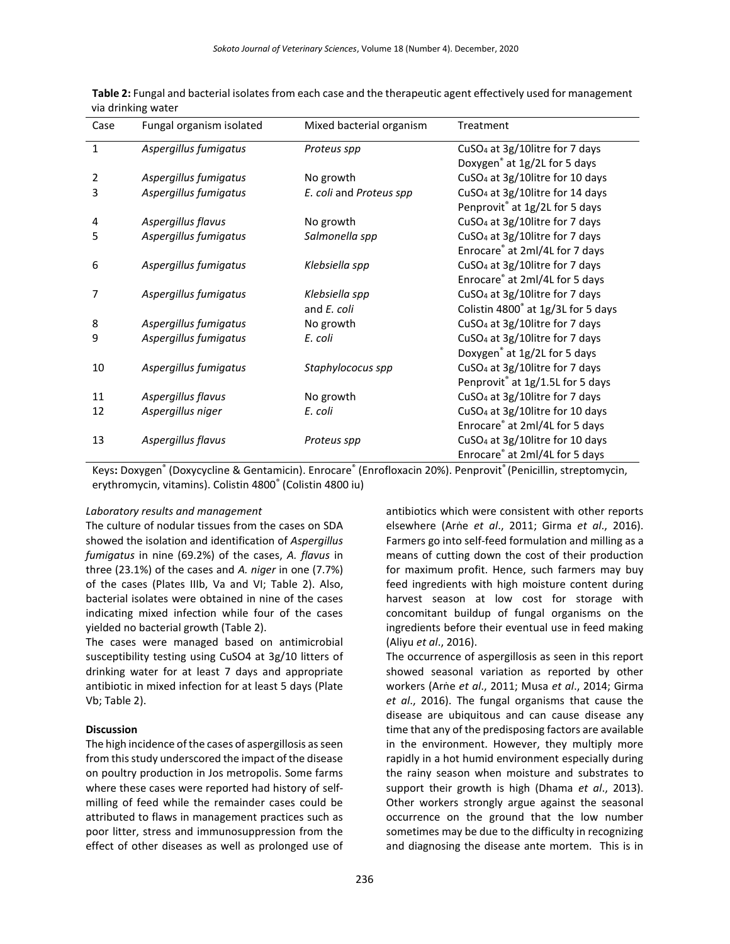| Case           | Fungal organism isolated | Mixed bacterial organism | Treatment                                   |
|----------------|--------------------------|--------------------------|---------------------------------------------|
| $\mathbf{1}$   | Aspergillus fumigatus    | Proteus spp              | CuSO <sub>4</sub> at 3g/10litre for 7 days  |
|                |                          |                          | Doxygen <sup>®</sup> at 1g/2L for 5 days    |
| $\overline{2}$ | Aspergillus fumigatus    | No growth                | CuSO <sub>4</sub> at 3g/10litre for 10 days |
| 3              | Aspergillus fumigatus    | E. coli and Proteus spp  | CuSO <sub>4</sub> at 3g/10litre for 14 days |
|                |                          |                          | Penprovit® at 1g/2L for 5 days              |
| 4              | Aspergillus flavus       | No growth                | CuSO <sub>4</sub> at 3g/10litre for 7 days  |
| 5              | Aspergillus fumigatus    | Salmonella spp           | CuSO <sub>4</sub> at 3g/10litre for 7 days  |
|                |                          |                          | Enrocare <sup>®</sup> at 2ml/4L for 7 days  |
| 6              | Aspergillus fumigatus    | Klebsiella spp           | CuSO <sub>4</sub> at 3g/10litre for 7 days  |
|                |                          |                          | Enrocare <sup>®</sup> at 2ml/4L for 5 days  |
| 7              | Aspergillus fumigatus    | Klebsiella spp           | CuSO <sub>4</sub> at 3g/10litre for 7 days  |
|                |                          | and E. coli              | Colistin 4800° at 1g/3L for 5 days          |
| 8              | Aspergillus fumigatus    | No growth                | CuSO <sub>4</sub> at 3g/10litre for 7 days  |
| 9              | Aspergillus fumigatus    | E. coli                  | CuSO <sub>4</sub> at 3g/10litre for 7 days  |
|                |                          |                          | Doxygen <sup>®</sup> at 1g/2L for 5 days    |
| 10             | Aspergillus fumigatus    | Staphylococus spp        | CuSO <sub>4</sub> at 3g/10litre for 7 days  |
|                |                          |                          | Penprovit® at 1g/1.5L for 5 days            |
| 11             | Aspergillus flavus       | No growth                | CuSO <sub>4</sub> at 3g/10litre for 7 days  |
| 12             | Aspergillus niger        | E. coli                  | CuSO <sub>4</sub> at 3g/10litre for 10 days |
|                |                          |                          | Enrocare® at 2ml/4L for 5 days              |
| 13             | Aspergillus flavus       | Proteus spp              | CuSO <sub>4</sub> at 3g/10litre for 10 days |
|                |                          |                          | Enrocare <sup>®</sup> at 2ml/4L for 5 days  |

**Table 2:** Fungal and bacterial isolates from each case and the therapeutic agent effectively used for management via drinking water

Keys: Doxygen<sup>®</sup> (Doxycycline & Gentamicin). Enrocare® (Enrofloxacin 20%). Penprovit® (Penicillin, streptomycin, erythromycin, vitamins). Colistin 4800® (Colistin 4800 iu)

#### *Laboratory results and management*

The culture of nodular tissues from the cases on SDA showed the isolation and identification of *Aspergillus fumigatus* in nine (69.2%) of the cases, *A. flavus* in three (23.1%) of the cases and *A. niger* in one (7.7%) of the cases (Plates IIIb, Va and VI; Table 2). Also, bacterial isolates were obtained in nine of the cases indicating mixed infection while four of the cases yielded no bacterial growth (Table 2).

The cases were managed based on antimicrobial susceptibility testing using CuSO4 at 3g/10 litters of drinking water for at least 7 days and appropriate antibiotic in mixed infection for at least 5 days (Plate Vb; Table 2).

#### **Discussion**

The high incidence of the cases of aspergillosis as seen from this study underscored the impact of the disease on poultry production in Jos metropolis. Some farms where these cases were reported had history of selfmilling of feed while the remainder cases could be attributed to flaws in management practices such as poor litter, stress and immunosuppression from the effect of other diseases as well as prolonged use of antibiotics which were consistent with other reports elsewhere (Arṅe *et al*., 2011; Girma *et al*., 2016). Farmers go into self-feed formulation and milling as a means of cutting down the cost of their production for maximum profit. Hence, such farmers may buy feed ingredients with high moisture content during harvest season at low cost for storage with concomitant buildup of fungal organisms on the ingredients before their eventual use in feed making (Aliyu *et al*., 2016).

The occurrence of aspergillosis as seen in this report showed seasonal variation as reported by other workers (Arṅe *et al*., 2011; Musa *et al*., 2014; Girma *et al*., 2016). The fungal organisms that cause the disease are ubiquitous and can cause disease any time that any of the predisposing factors are available in the environment. However, they multiply more rapidly in a hot humid environment especially during the rainy season when moisture and substrates to support their growth is high (Dhama *et al*., 2013). Other workers strongly argue against the seasonal occurrence on the ground that the low number sometimes may be due to the difficulty in recognizing and diagnosing the disease ante mortem. This is in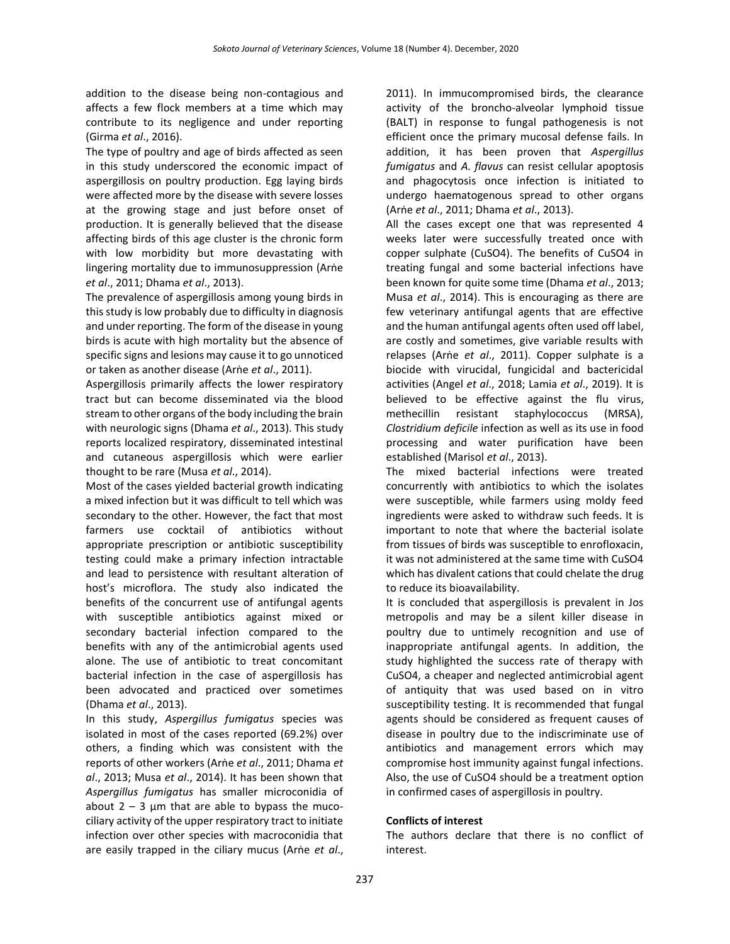addition to the disease being non-contagious and affects a few flock members at a time which may contribute to its negligence and under reporting (Girma *et al*., 2016).

The type of poultry and age of birds affected as seen in this study underscored the economic impact of aspergillosis on poultry production. Egg laying birds were affected more by the disease with severe losses at the growing stage and just before onset of production. It is generally believed that the disease affecting birds of this age cluster is the chronic form with low morbidity but more devastating with lingering mortality due to immunosuppression (Arṅe *et al*., 2011; Dhama *et al*., 2013).

The prevalence of aspergillosis among young birds in this study is low probably due to difficulty in diagnosis and under reporting. The form of the disease in young birds is acute with high mortality but the absence of specific signs and lesions may cause it to go unnoticed or taken as another disease (Arṅe *et al*., 2011).

Aspergillosis primarily affects the lower respiratory tract but can become disseminated via the blood stream to other organs of the body including the brain with neurologic signs (Dhama *et al*., 2013). This study reports localized respiratory, disseminated intestinal and cutaneous aspergillosis which were earlier thought to be rare (Musa *et al*., 2014).

Most of the cases yielded bacterial growth indicating a mixed infection but it was difficult to tell which was secondary to the other. However, the fact that most farmers use cocktail of antibiotics without appropriate prescription or antibiotic susceptibility testing could make a primary infection intractable and lead to persistence with resultant alteration of host's microflora. The study also indicated the benefits of the concurrent use of antifungal agents with susceptible antibiotics against mixed or secondary bacterial infection compared to the benefits with any of the antimicrobial agents used alone. The use of antibiotic to treat concomitant bacterial infection in the case of aspergillosis has been advocated and practiced over sometimes (Dhama *et al*., 2013).

In this study, *Aspergillus fumigatus* species was isolated in most of the cases reported (69.2%) over others, a finding which was consistent with the reports of other workers (Arṅe *et al*., 2011; Dhama *et al*., 2013; Musa *et al*., 2014). It has been shown that *Aspergillus fumigatus* has smaller microconidia of about  $2 - 3$  µm that are able to bypass the mucociliary activity of the upper respiratory tract to initiate infection over other species with macroconidia that are easily trapped in the ciliary mucus (Arṅe *et al*.,

2011). In immucompromised birds, the clearance activity of the broncho-alveolar lymphoid tissue (BALT) in response to fungal pathogenesis is not efficient once the primary mucosal defense fails. In addition, it has been proven that *Aspergillus fumigatus* and *A. flavus* can resist cellular apoptosis and phagocytosis once infection is initiated to undergo haematogenous spread to other organs (Arṅe *et al*., 2011; Dhama *et al*., 2013).

All the cases except one that was represented 4 weeks later were successfully treated once with copper sulphate (CuSO4). The benefits of CuSO4 in treating fungal and some bacterial infections have been known for quite some time (Dhama *et al*., 2013; Musa *et al*., 2014). This is encouraging as there are few veterinary antifungal agents that are effective and the human antifungal agents often used off label, are costly and sometimes, give variable results with relapses (Arṅe *et al*., 2011). Copper sulphate is a biocide with virucidal, fungicidal and bactericidal activities (Angel *et al*., 2018; Lamia *et al*., 2019). It is believed to be effective against the flu virus, methecillin resistant staphylococcus (MRSA), *Clostridium deficile* infection as well as its use in food processing and water purification have been established (Marisol *et al*., 2013).

The mixed bacterial infections were treated concurrently with antibiotics to which the isolates were susceptible, while farmers using moldy feed ingredients were asked to withdraw such feeds. It is important to note that where the bacterial isolate from tissues of birds was susceptible to enrofloxacin, it was not administered at the same time with CuSO4 which has divalent cations that could chelate the drug to reduce its bioavailability.

It is concluded that aspergillosis is prevalent in Jos metropolis and may be a silent killer disease in poultry due to untimely recognition and use of inappropriate antifungal agents. In addition, the study highlighted the success rate of therapy with CuSO4, a cheaper and neglected antimicrobial agent of antiquity that was used based on in vitro susceptibility testing. It is recommended that fungal agents should be considered as frequent causes of disease in poultry due to the indiscriminate use of antibiotics and management errors which may compromise host immunity against fungal infections. Also, the use of CuSO4 should be a treatment option in confirmed cases of aspergillosis in poultry.

#### **Conflicts of interest**

The authors declare that there is no conflict of interest.